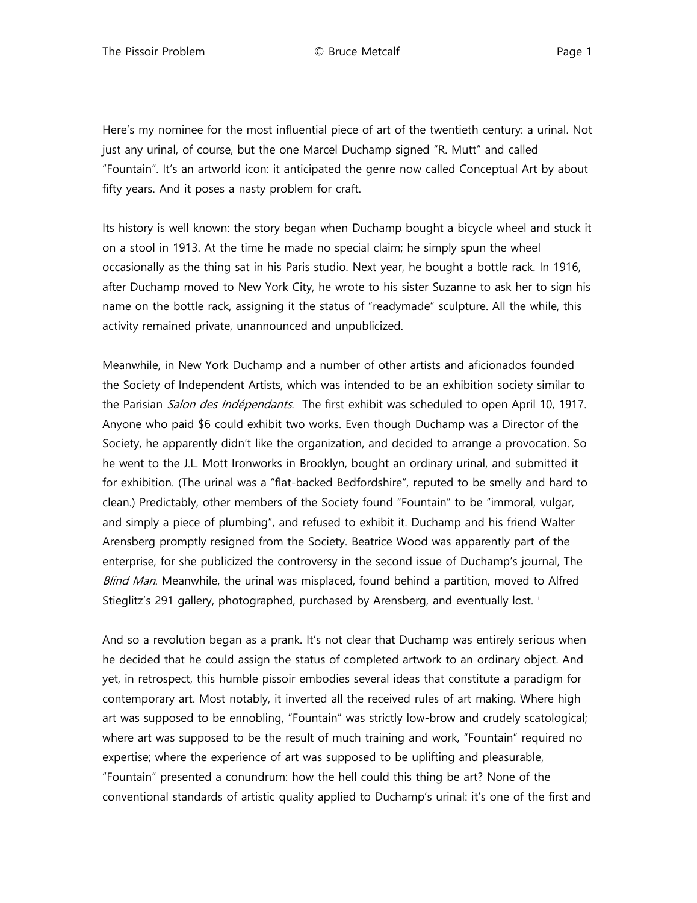Here's my nominee for the most influential piece of art of the twentieth century: a urinal. Not just any urinal, of course, but the one Marcel Duchamp signed "R. Mutt" and called "Fountain". It's an artworld icon: it anticipated the genre now called Conceptual Art by about fifty years. And it poses a nasty problem for craft.

Its history is well known: the story began when Duchamp bought a bicycle wheel and stuck it on a stool in 1913. At the time he made no special claim; he simply spun the wheel occasionally as the thing sat in his Paris studio. Next year, he bought a bottle rack. In 1916, after Duchamp moved to New York City, he wrote to his sister Suzanne to ask her to sign his name on the bottle rack, assigning it the status of "readymade" sculpture. All the while, this activity remained private, unannounced and unpublicized.

Meanwhile, in New York Duchamp and a number of other artists and aficionados founded the Society of Independent Artists, which was intended to be an exhibition society similar to the Parisian Salon des Indépendants. The first exhibit was scheduled to open April 10, 1917. Anyone who paid \$6 could exhibit two works. Even though Duchamp was a Director of the Society, he apparently didn't like the organization, and decided to arrange a provocation. So he went to the J.L. Mott Ironworks in Brooklyn, bought an ordinary urinal, and submitted it for exhibition. (The urinal was a "flat-backed Bedfordshire", reputed to be smelly and hard to clean.) Predictably, other members of the Society found "Fountain" to be "immoral, vulgar, and simply a piece of plumbing", and refused to exhibit it. Duchamp and his friend Walter Arensberg promptly resigned from the Society. Beatrice Wood was apparently part of the enterprise, for she publicized the controversy in the second issue of Duchamp's journal, The Blind Man. Meanwhile, the urinal was misplaced, found behind a partition, moved to Alfred St[i](#page-11-0)eglitz's 291 gallery, photographed, purchased by Arensberg, and eventually lost. i

And so a revolution began as a prank. It's not clear that Duchamp was entirely serious when he decided that he could assign the status of completed artwork to an ordinary object. And yet, in retrospect, this humble pissoir embodies several ideas that constitute a paradigm for contemporary art. Most notably, it inverted all the received rules of art making. Where high art was supposed to be ennobling, "Fountain" was strictly low-brow and crudely scatological; where art was supposed to be the result of much training and work, "Fountain" required no expertise; where the experience of art was supposed to be uplifting and pleasurable, "Fountain" presented a conundrum: how the hell could this thing be art? None of the conventional standards of artistic quality applied to Duchamp's urinal: it's one of the first and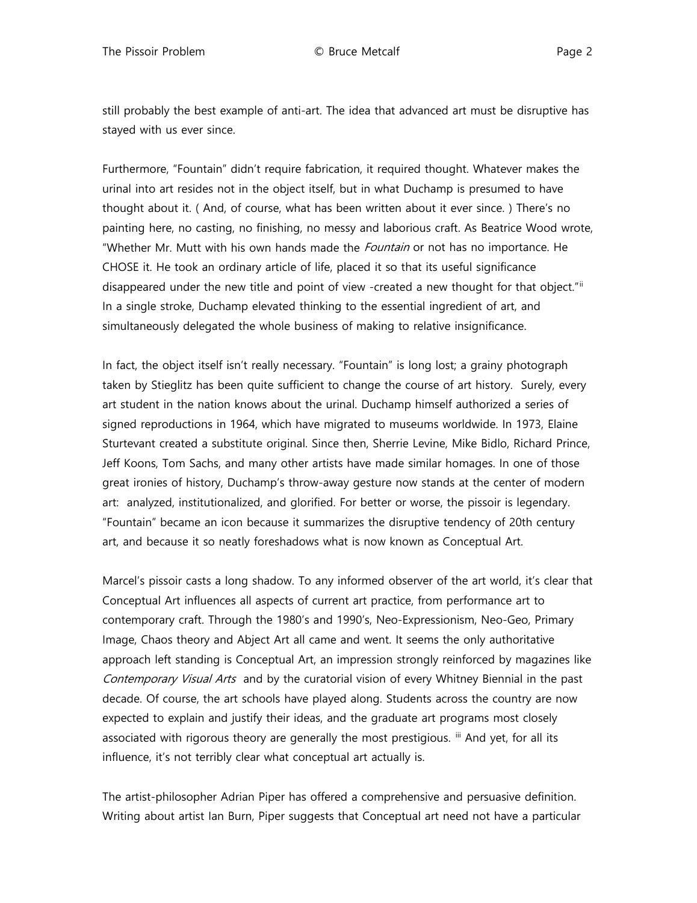still probably the best example of anti-art. The idea that advanced art must be disruptive has stayed with us ever since.

Furthermore, "Fountain" didn't require fabrication, it required thought. Whatever makes the urinal into art resides not in the object itself, but in what Duchamp is presumed to have thought about it. ( And, of course, what has been written about it ever since. ) There's no painting here, no casting, no finishing, no messy and laborious craft. As Beatrice Wood wrote, "Whether Mr. Mutt with his own hands made the *Fountain* or not has no importance. He CHOSE it. He took an ordinary article of life, placed it so that its useful significance disappeared under the new title and point of view -created a new thought for that object."" In a single stroke, Duchamp elevated thinking to the essential ingredient of art, and simultaneously delegated the whole business of making to relative insignificance.

In fact, the object itself isn't really necessary. "Fountain" is long lost; a grainy photograph taken by Stieglitz has been quite sufficient to change the course of art history. Surely, every art student in the nation knows about the urinal. Duchamp himself authorized a series of signed reproductions in 1964, which have migrated to museums worldwide. In 1973, Elaine Sturtevant created a substitute original. Since then, Sherrie Levine, Mike Bidlo, Richard Prince, Jeff Koons, Tom Sachs, and many other artists have made similar homages. In one of those great ironies of history, Duchamp's throw-away gesture now stands at the center of modern art: analyzed, institutionalized, and glorified. For better or worse, the pissoir is legendary. "Fountain" became an icon because it summarizes the disruptive tendency of 20th century art, and because it so neatly foreshadows what is now known as Conceptual Art.

Marcel's pissoir casts a long shadow. To any informed observer of the art world, it's clear that Conceptual Art influences all aspects of current art practice, from performance art to contemporary craft. Through the 1980's and 1990's, Neo-Expressionism, Neo-Geo, Primary Image, Chaos theory and Abject Art all came and went. It seems the only authoritative approach left standing is Conceptual Art, an impression strongly reinforced by magazines like Contemporary Visual Arts and by the curatorial vision of every Whitney Biennial in the past decade. Of course, the art schools have played along. Students across the country are now expected to explain and justify their ideas, and the graduate art programs most closely associated with rigorous theory are generally the most prestigious. III And yet, for all its influence, it's not terribly clear what conceptual art actually is.

The artist-philosopher Adrian Piper has offered a comprehensive and persuasive definition. Writing about artist Ian Burn, Piper suggests that Conceptual art need not have a particular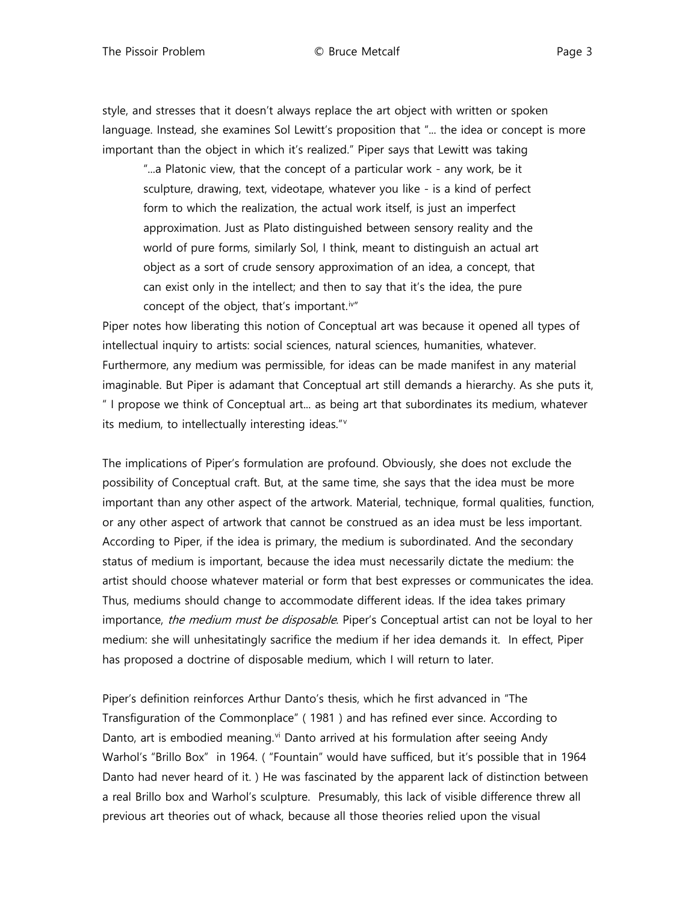style, and stresses that it doesn't always replace the art object with written or spoken language. Instead, she examines Sol Lewitt's proposition that "... the idea or concept is more important than the object in which it's realized." Piper says that Lewitt was taking

"...a Platonic view, that the concept of a particular work - any work, be it sculpture, drawing, text, videotape, whatever you like - is a kind of perfect form to which the realization, the actual work itself, is just an imperfect approximation. Just as Plato distinguished between sensory reality and the world of pure forms, similarly Sol, I think, meant to distinguish an actual art object as a sort of crude sensory approximation of an idea, a concept, that can exist only in the intellect; and then to say that it's the idea, the pure concept of the object, that's important. $iv''$ 

Piper notes how liberating this notion of Conceptual art was because it opened all types of intellectual inquiry to artists: social sciences, natural sciences, humanities, whatever. Furthermore, any medium was permissible, for ideas can be made manifest in any material imaginable. But Piper is adamant that Conceptual art still demands a hierarchy. As she puts it, " I propose we think of Conceptual art... as being art that subordinates its medium, whatever its medium, to intellectually interesting ideas."[v](#page-11-4)

The implications of Piper's formulation are profound. Obviously, she does not exclude the possibility of Conceptual craft. But, at the same time, she says that the idea must be more important than any other aspect of the artwork. Material, technique, formal qualities, function, or any other aspect of artwork that cannot be construed as an idea must be less important. According to Piper, if the idea is primary, the medium is subordinated. And the secondary status of medium is important, because the idea must necessarily dictate the medium: the artist should choose whatever material or form that best expresses or communicates the idea. Thus, mediums should change to accommodate different ideas. If the idea takes primary importance, the medium must be disposable. Piper's Conceptual artist can not be loyal to her medium: she will unhesitatingly sacrifice the medium if her idea demands it. In effect, Piper has proposed a doctrine of disposable medium, which I will return to later.

Piper's definition reinforces Arthur Danto's thesis, which he first advanced in "The Transfiguration of the Commonplace" ( 1981 ) and has refined ever since. According to Danto, art is embodied meaning.<sup>[vi](#page-11-5)</sup> Danto arrived at his formulation after seeing Andy Warhol's "Brillo Box" in 1964. ( "Fountain" would have sufficed, but it's possible that in 1964 Danto had never heard of it. ) He was fascinated by the apparent lack of distinction between a real Brillo box and Warhol's sculpture. Presumably, this lack of visible difference threw all previous art theories out of whack, because all those theories relied upon the visual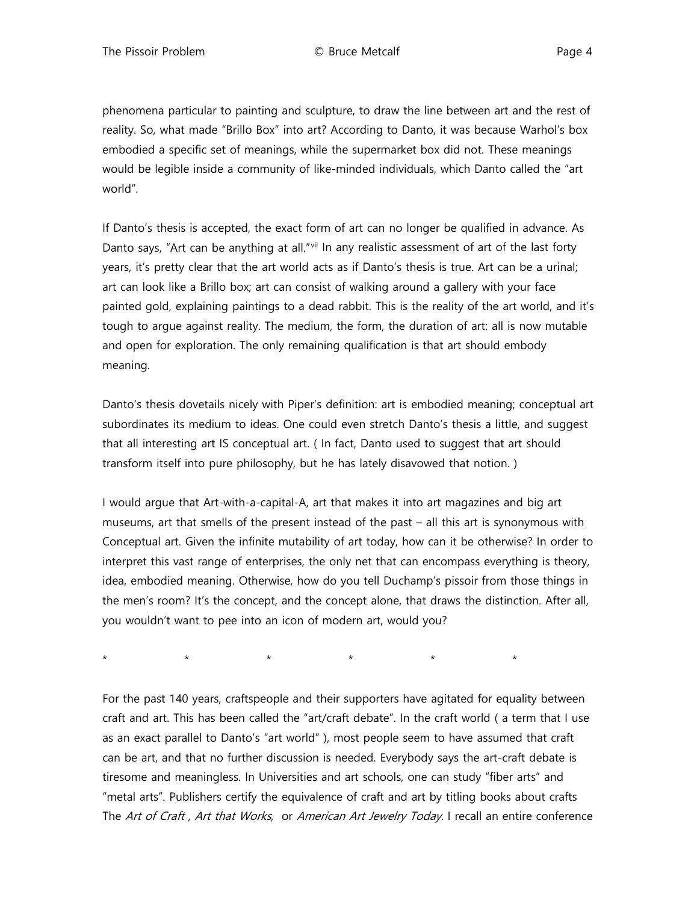phenomena particular to painting and sculpture, to draw the line between art and the rest of reality. So, what made "Brillo Box" into art? According to Danto, it was because Warhol's box embodied a specific set of meanings, while the supermarket box did not. These meanings would be legible inside a community of like-minded individuals, which Danto called the "art world".

If Danto's thesis is accepted, the exact form of art can no longer be qualified in advance. As Danto says, "Art can be anything at all."[vii](#page-11-6) In any realistic assessment of art of the last forty years, it's pretty clear that the art world acts as if Danto's thesis is true. Art can be a urinal; art can look like a Brillo box; art can consist of walking around a gallery with your face painted gold, explaining paintings to a dead rabbit. This is the reality of the art world, and it's tough to argue against reality. The medium, the form, the duration of art: all is now mutable and open for exploration. The only remaining qualification is that art should embody meaning.

Danto's thesis dovetails nicely with Piper's definition: art is embodied meaning; conceptual art subordinates its medium to ideas. One could even stretch Danto's thesis a little, and suggest that all interesting art IS conceptual art. ( In fact, Danto used to suggest that art should transform itself into pure philosophy, but he has lately disavowed that notion. )

I would argue that Art-with-a-capital-A, art that makes it into art magazines and big art museums, art that smells of the present instead of the past – all this art is synonymous with Conceptual art. Given the infinite mutability of art today, how can it be otherwise? In order to interpret this vast range of enterprises, the only net that can encompass everything is theory, idea, embodied meaning. Otherwise, how do you tell Duchamp's pissoir from those things in the men's room? It's the concept, and the concept alone, that draws the distinction. After all, you wouldn't want to pee into an icon of modern art, would you?

\* \* \* \* \* \* \* \* \* \*

For the past 140 years, craftspeople and their supporters have agitated for equality between craft and art. This has been called the "art/craft debate". In the craft world ( a term that I use as an exact parallel to Danto's "art world" ), most people seem to have assumed that craft can be art, and that no further discussion is needed. Everybody says the art-craft debate is tiresome and meaningless. In Universities and art schools, one can study "fiber arts" and "metal arts". Publishers certify the equivalence of craft and art by titling books about crafts The Art of Craft, Art that Works, or American Art Jewelry Today. I recall an entire conference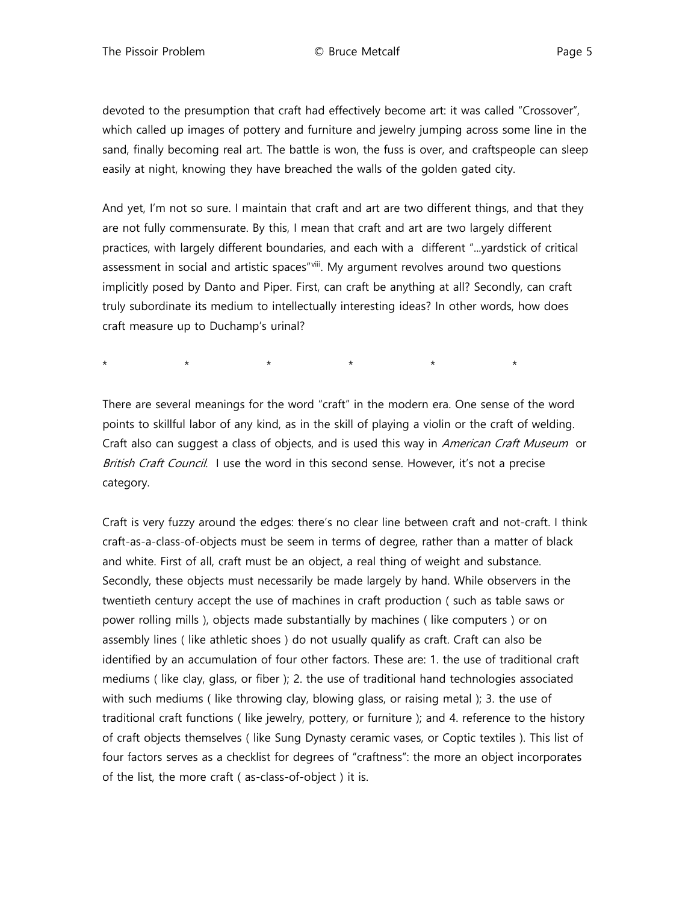devoted to the presumption that craft had effectively become art: it was called "Crossover", which called up images of pottery and furniture and jewelry jumping across some line in the sand, finally becoming real art. The battle is won, the fuss is over, and craftspeople can sleep easily at night, knowing they have breached the walls of the golden gated city.

And yet, I'm not so sure. I maintain that craft and art are two different things, and that they are not fully commensurate. By this, I mean that craft and art are two largely different practices, with largely different boundaries, and each with a different "...yardstick of critical assessment in social and artistic spaces"[viii.](#page-11-7) My argument revolves around two questions implicitly posed by Danto and Piper. First, can craft be anything at all? Secondly, can craft truly subordinate its medium to intellectually interesting ideas? In other words, how does craft measure up to Duchamp's urinal?

\* \* \* \* \* \* \* \* \* \*

There are several meanings for the word "craft" in the modern era. One sense of the word points to skillful labor of any kind, as in the skill of playing a violin or the craft of welding. Craft also can suggest a class of objects, and is used this way in American Craft Museum or British Craft Council. I use the word in this second sense. However, it's not a precise category.

Craft is very fuzzy around the edges: there's no clear line between craft and not-craft. I think craft-as-a-class-of-objects must be seem in terms of degree, rather than a matter of black and white. First of all, craft must be an object, a real thing of weight and substance. Secondly, these objects must necessarily be made largely by hand. While observers in the twentieth century accept the use of machines in craft production ( such as table saws or power rolling mills ), objects made substantially by machines ( like computers ) or on assembly lines ( like athletic shoes ) do not usually qualify as craft. Craft can also be identified by an accumulation of four other factors. These are: 1. the use of traditional craft mediums ( like clay, glass, or fiber ); 2. the use of traditional hand technologies associated with such mediums ( like throwing clay, blowing glass, or raising metal ); 3. the use of traditional craft functions ( like jewelry, pottery, or furniture ); and 4. reference to the history of craft objects themselves ( like Sung Dynasty ceramic vases, or Coptic textiles ). This list of four factors serves as a checklist for degrees of "craftness": the more an object incorporates of the list, the more craft ( as-class-of-object ) it is.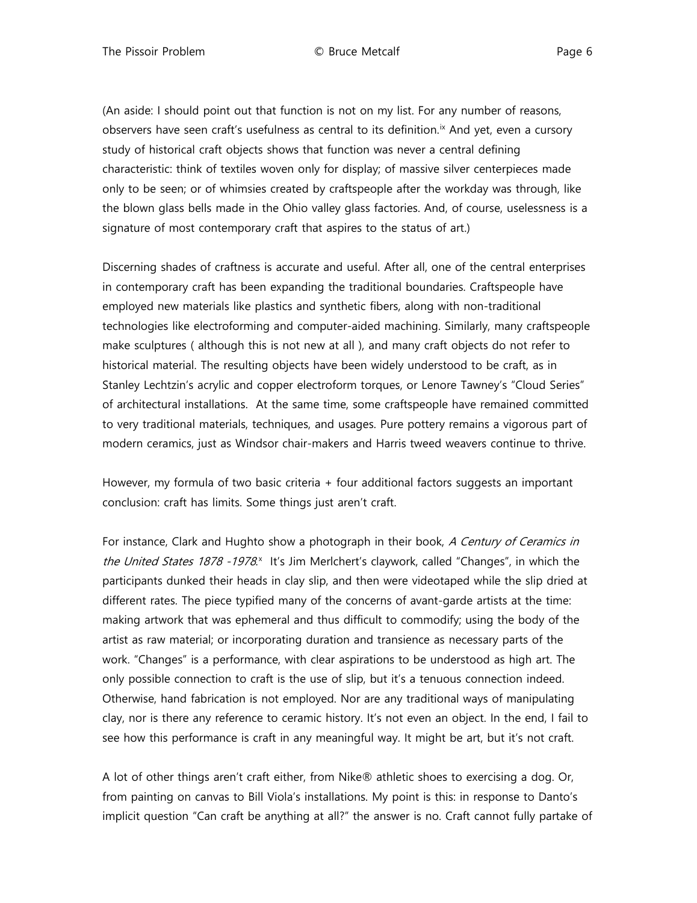(An aside: I should point out that function is not on my list. For any number of reasons, observers have seen craft's usefulness as central to its definition.<sup>[ix](#page-11-8)</sup> And yet, even a cursory study of historical craft objects shows that function was never a central defining characteristic: think of textiles woven only for display; of massive silver centerpieces made only to be seen; or of whimsies created by craftspeople after the workday was through, like the blown glass bells made in the Ohio valley glass factories. And, of course, uselessness is a signature of most contemporary craft that aspires to the status of art.)

Discerning shades of craftness is accurate and useful. After all, one of the central enterprises in contemporary craft has been expanding the traditional boundaries. Craftspeople have employed new materials like plastics and synthetic fibers, along with non-traditional technologies like electroforming and computer-aided machining. Similarly, many craftspeople make sculptures ( although this is not new at all ), and many craft objects do not refer to historical material. The resulting objects have been widely understood to be craft, as in Stanley Lechtzin's acrylic and copper electroform torques, or Lenore Tawney's "Cloud Series" of architectural installations. At the same time, some craftspeople have remained committed to very traditional materials, techniques, and usages. Pure pottery remains a vigorous part of modern ceramics, just as Windsor chair-makers and Harris tweed weavers continue to thrive.

However, my formula of two basic criteria + four additional factors suggests an important conclusion: craft has limits. Some things just aren't craft.

For instance, Clark and Hughto show a photograph in their book, A Century of Ceramics in the United States 1878 -1978.<sup>[x](#page-11-9)</sup> It's Jim Merlchert's claywork, called "Changes", in which the participants dunked their heads in clay slip, and then were videotaped while the slip dried at different rates. The piece typified many of the concerns of avant-garde artists at the time: making artwork that was ephemeral and thus difficult to commodify; using the body of the artist as raw material; or incorporating duration and transience as necessary parts of the work. "Changes" is a performance, with clear aspirations to be understood as high art. The only possible connection to craft is the use of slip, but it's a tenuous connection indeed. Otherwise, hand fabrication is not employed. Nor are any traditional ways of manipulating clay, nor is there any reference to ceramic history. It's not even an object. In the end, I fail to see how this performance is craft in any meaningful way. It might be art, but it's not craft.

A lot of other things aren't craft either, from Nike® athletic shoes to exercising a dog. Or, from painting on canvas to Bill Viola's installations. My point is this: in response to Danto's implicit question "Can craft be anything at all?" the answer is no. Craft cannot fully partake of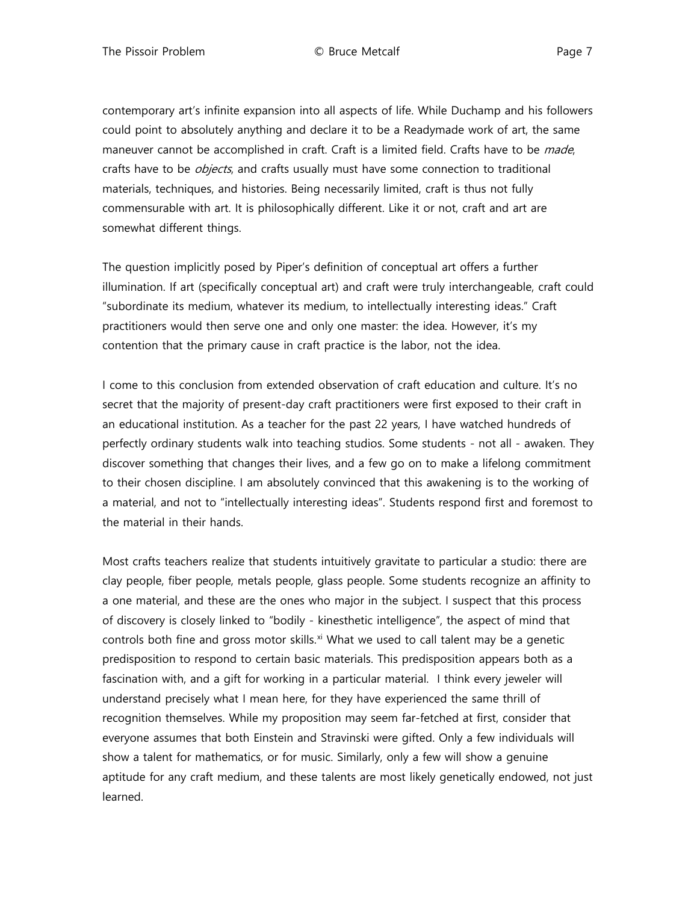contemporary art's infinite expansion into all aspects of life. While Duchamp and his followers could point to absolutely anything and declare it to be a Readymade work of art, the same maneuver cannot be accomplished in craft. Craft is a limited field. Crafts have to be *made*, crafts have to be *objects*, and crafts usually must have some connection to traditional materials, techniques, and histories. Being necessarily limited, craft is thus not fully commensurable with art. It is philosophically different. Like it or not, craft and art are somewhat different things.

The question implicitly posed by Piper's definition of conceptual art offers a further illumination. If art (specifically conceptual art) and craft were truly interchangeable, craft could "subordinate its medium, whatever its medium, to intellectually interesting ideas." Craft practitioners would then serve one and only one master: the idea. However, it's my contention that the primary cause in craft practice is the labor, not the idea.

I come to this conclusion from extended observation of craft education and culture. It's no secret that the majority of present-day craft practitioners were first exposed to their craft in an educational institution. As a teacher for the past 22 years, I have watched hundreds of perfectly ordinary students walk into teaching studios. Some students - not all - awaken. They discover something that changes their lives, and a few go on to make a lifelong commitment to their chosen discipline. I am absolutely convinced that this awakening is to the working of a material, and not to "intellectually interesting ideas". Students respond first and foremost to the material in their hands.

Most crafts teachers realize that students intuitively gravitate to particular a studio: there are clay people, fiber people, metals people, glass people. Some students recognize an affinity to a one material, and these are the ones who major in the subject. I suspect that this process of discovery is closely linked to "bodily - kinesthetic intelligence", the aspect of mind that controls both fine and gross motor skills.<sup>[xi](#page-11-10)</sup> What we used to call talent may be a genetic predisposition to respond to certain basic materials. This predisposition appears both as a fascination with, and a gift for working in a particular material. I think every jeweler will understand precisely what I mean here, for they have experienced the same thrill of recognition themselves. While my proposition may seem far-fetched at first, consider that everyone assumes that both Einstein and Stravinski were gifted. Only a few individuals will show a talent for mathematics, or for music. Similarly, only a few will show a genuine aptitude for any craft medium, and these talents are most likely genetically endowed, not just learned.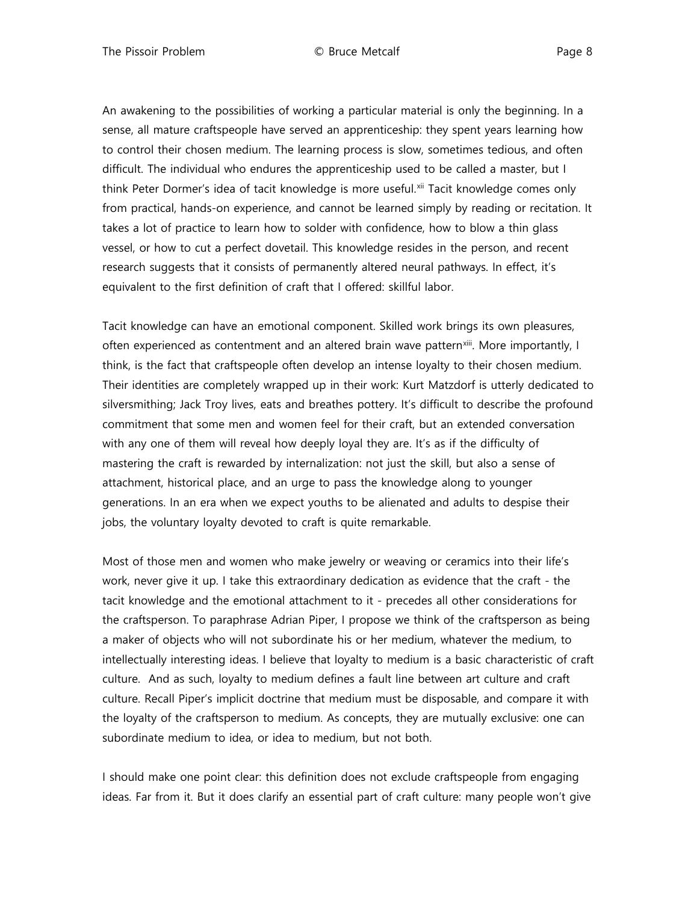An awakening to the possibilities of working a particular material is only the beginning. In a sense, all mature craftspeople have served an apprenticeship: they spent years learning how to control their chosen medium. The learning process is slow, sometimes tedious, and often difficult. The individual who endures the apprenticeship used to be called a master, but I think Peter Dormer's idea of tacit knowledge is more useful.[xii](#page-12-0) Tacit knowledge comes only from practical, hands-on experience, and cannot be learned simply by reading or recitation. It takes a lot of practice to learn how to solder with confidence, how to blow a thin glass vessel, or how to cut a perfect dovetail. This knowledge resides in the person, and recent research suggests that it consists of permanently altered neural pathways. In effect, it's equivalent to the first definition of craft that I offered: skillful labor.

Tacit knowledge can have an emotional component. Skilled work brings its own pleasures, often experienced as contentment and an altered brain wave pattern[xiii.](#page-12-1) More importantly, I think, is the fact that craftspeople often develop an intense loyalty to their chosen medium. Their identities are completely wrapped up in their work: Kurt Matzdorf is utterly dedicated to silversmithing; Jack Troy lives, eats and breathes pottery. It's difficult to describe the profound commitment that some men and women feel for their craft, but an extended conversation with any one of them will reveal how deeply loyal they are. It's as if the difficulty of mastering the craft is rewarded by internalization: not just the skill, but also a sense of attachment, historical place, and an urge to pass the knowledge along to younger generations. In an era when we expect youths to be alienated and adults to despise their jobs, the voluntary loyalty devoted to craft is quite remarkable.

Most of those men and women who make jewelry or weaving or ceramics into their life's work, never give it up. I take this extraordinary dedication as evidence that the craft - the tacit knowledge and the emotional attachment to it - precedes all other considerations for the craftsperson. To paraphrase Adrian Piper, I propose we think of the craftsperson as being a maker of objects who will not subordinate his or her medium, whatever the medium, to intellectually interesting ideas. I believe that loyalty to medium is a basic characteristic of craft culture. And as such, loyalty to medium defines a fault line between art culture and craft culture. Recall Piper's implicit doctrine that medium must be disposable, and compare it with the loyalty of the craftsperson to medium. As concepts, they are mutually exclusive: one can subordinate medium to idea, or idea to medium, but not both.

I should make one point clear: this definition does not exclude craftspeople from engaging ideas. Far from it. But it does clarify an essential part of craft culture: many people won't give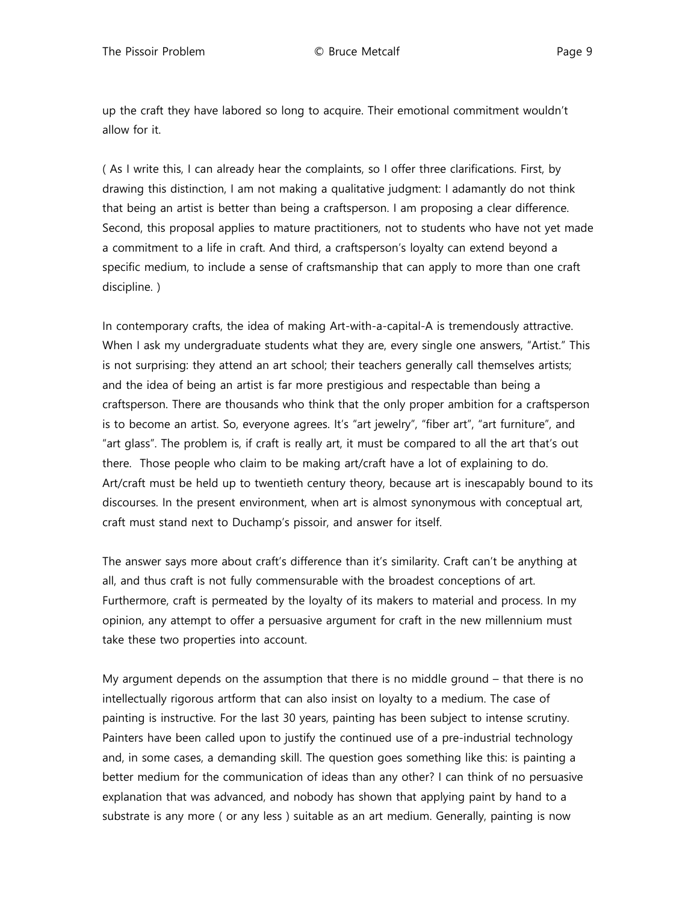up the craft they have labored so long to acquire. Their emotional commitment wouldn't allow for it.

( As I write this, I can already hear the complaints, so I offer three clarifications. First, by drawing this distinction, I am not making a qualitative judgment: I adamantly do not think that being an artist is better than being a craftsperson. I am proposing a clear difference. Second, this proposal applies to mature practitioners, not to students who have not yet made a commitment to a life in craft. And third, a craftsperson's loyalty can extend beyond a specific medium, to include a sense of craftsmanship that can apply to more than one craft discipline. )

In contemporary crafts, the idea of making Art-with-a-capital-A is tremendously attractive. When I ask my undergraduate students what they are, every single one answers, "Artist." This is not surprising: they attend an art school; their teachers generally call themselves artists; and the idea of being an artist is far more prestigious and respectable than being a craftsperson. There are thousands who think that the only proper ambition for a craftsperson is to become an artist. So, everyone agrees. It's "art jewelry", "fiber art", "art furniture", and "art glass". The problem is, if craft is really art, it must be compared to all the art that's out there. Those people who claim to be making art/craft have a lot of explaining to do. Art/craft must be held up to twentieth century theory, because art is inescapably bound to its discourses. In the present environment, when art is almost synonymous with conceptual art, craft must stand next to Duchamp's pissoir, and answer for itself.

The answer says more about craft's difference than it's similarity. Craft can't be anything at all, and thus craft is not fully commensurable with the broadest conceptions of art. Furthermore, craft is permeated by the loyalty of its makers to material and process. In my opinion, any attempt to offer a persuasive argument for craft in the new millennium must take these two properties into account.

My argument depends on the assumption that there is no middle ground – that there is no intellectually rigorous artform that can also insist on loyalty to a medium. The case of painting is instructive. For the last 30 years, painting has been subject to intense scrutiny. Painters have been called upon to justify the continued use of a pre-industrial technology and, in some cases, a demanding skill. The question goes something like this: is painting a better medium for the communication of ideas than any other? I can think of no persuasive explanation that was advanced, and nobody has shown that applying paint by hand to a substrate is any more ( or any less ) suitable as an art medium. Generally, painting is now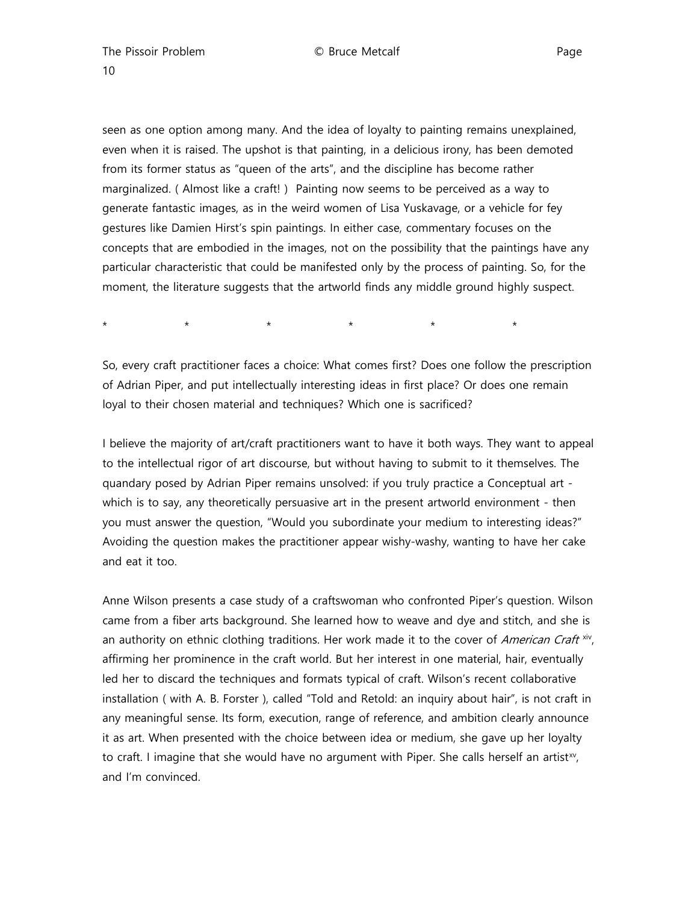10

seen as one option among many. And the idea of loyalty to painting remains unexplained, even when it is raised. The upshot is that painting, in a delicious irony, has been demoted from its former status as "queen of the arts", and the discipline has become rather marginalized. ( Almost like a craft! ) Painting now seems to be perceived as a way to generate fantastic images, as in the weird women of Lisa Yuskavage, or a vehicle for fey gestures like Damien Hirst's spin paintings. In either case, commentary focuses on the concepts that are embodied in the images, not on the possibility that the paintings have any particular characteristic that could be manifested only by the process of painting. So, for the moment, the literature suggests that the artworld finds any middle ground highly suspect.

\* \* \* \* \* \*

So, every craft practitioner faces a choice: What comes first? Does one follow the prescription of Adrian Piper, and put intellectually interesting ideas in first place? Or does one remain loyal to their chosen material and techniques? Which one is sacrificed?

I believe the majority of art/craft practitioners want to have it both ways. They want to appeal to the intellectual rigor of art discourse, but without having to submit to it themselves. The quandary posed by Adrian Piper remains unsolved: if you truly practice a Conceptual art which is to say, any theoretically persuasive art in the present artworld environment - then you must answer the question, "Would you subordinate your medium to interesting ideas?" Avoiding the question makes the practitioner appear wishy-washy, wanting to have her cake and eat it too.

Anne Wilson presents a case study of a craftswoman who confronted Piper's question. Wilson came from a fiber arts background. She learned how to weave and dye and stitch, and she is an authority on ethnic clothing traditions. Her work made it to the cover of American Craft  $\sin$ affirming her prominence in the craft world. But her interest in one material, hair, eventually led her to discard the techniques and formats typical of craft. Wilson's recent collaborative installation ( with A. B. Forster ), called "Told and Retold: an inquiry about hair", is not craft in any meaningful sense. Its form, execution, range of reference, and ambition clearly announce it as art. When presented with the choice between idea or medium, she gave up her loyalty to craft. I imagine that she would have no argument with Piper. She calls herself an artist<sup>xy</sup>, and I'm convinced.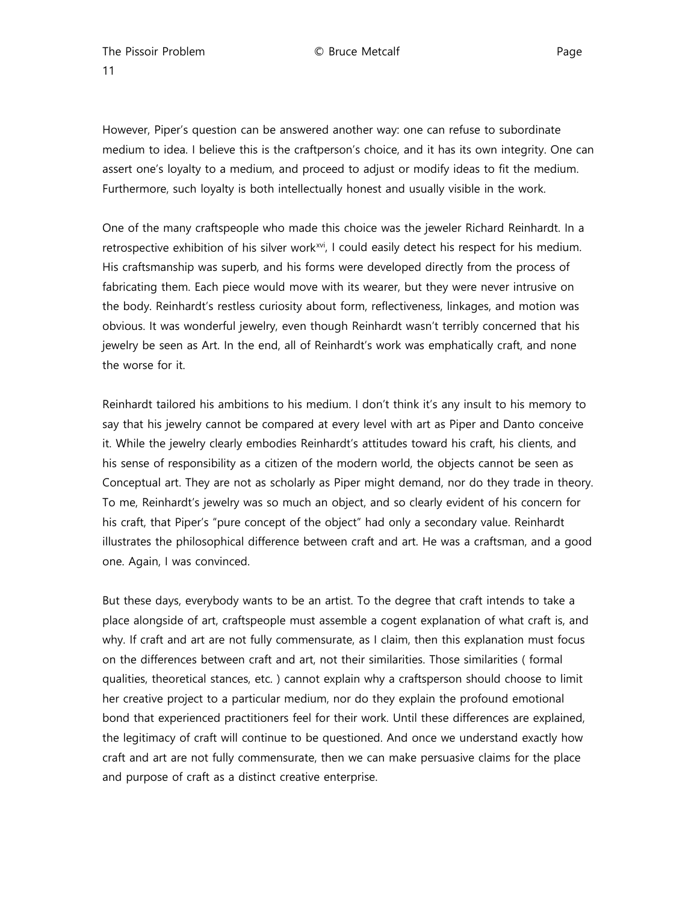The Pissoir Problem  $\bullet$  Bruce Metcalf Page Page 11

However, Piper's question can be answered another way: one can refuse to subordinate medium to idea. I believe this is the craftperson's choice, and it has its own integrity. One can assert one's loyalty to a medium, and proceed to adjust or modify ideas to fit the medium. Furthermore, such loyalty is both intellectually honest and usually visible in the work.

One of the many craftspeople who made this choice was the jeweler Richard Reinhardt. In a retrospective exhibition of his silver work<sup>xvi</sup>, I could easily detect his respect for his medium. His craftsmanship was superb, and his forms were developed directly from the process of fabricating them. Each piece would move with its wearer, but they were never intrusive on the body. Reinhardt's restless curiosity about form, reflectiveness, linkages, and motion was obvious. It was wonderful jewelry, even though Reinhardt wasn't terribly concerned that his jewelry be seen as Art. In the end, all of Reinhardt's work was emphatically craft, and none the worse for it.

Reinhardt tailored his ambitions to his medium. I don't think it's any insult to his memory to say that his jewelry cannot be compared at every level with art as Piper and Danto conceive it. While the jewelry clearly embodies Reinhardt's attitudes toward his craft, his clients, and his sense of responsibility as a citizen of the modern world, the objects cannot be seen as Conceptual art. They are not as scholarly as Piper might demand, nor do they trade in theory. To me, Reinhardt's jewelry was so much an object, and so clearly evident of his concern for his craft, that Piper's "pure concept of the object" had only a secondary value. Reinhardt illustrates the philosophical difference between craft and art. He was a craftsman, and a good one. Again, I was convinced.

But these days, everybody wants to be an artist. To the degree that craft intends to take a place alongside of art, craftspeople must assemble a cogent explanation of what craft is, and why. If craft and art are not fully commensurate, as I claim, then this explanation must focus on the differences between craft and art, not their similarities. Those similarities ( formal qualities, theoretical stances, etc. ) cannot explain why a craftsperson should choose to limit her creative project to a particular medium, nor do they explain the profound emotional bond that experienced practitioners feel for their work. Until these differences are explained, the legitimacy of craft will continue to be questioned. And once we understand exactly how craft and art are not fully commensurate, then we can make persuasive claims for the place and purpose of craft as a distinct creative enterprise.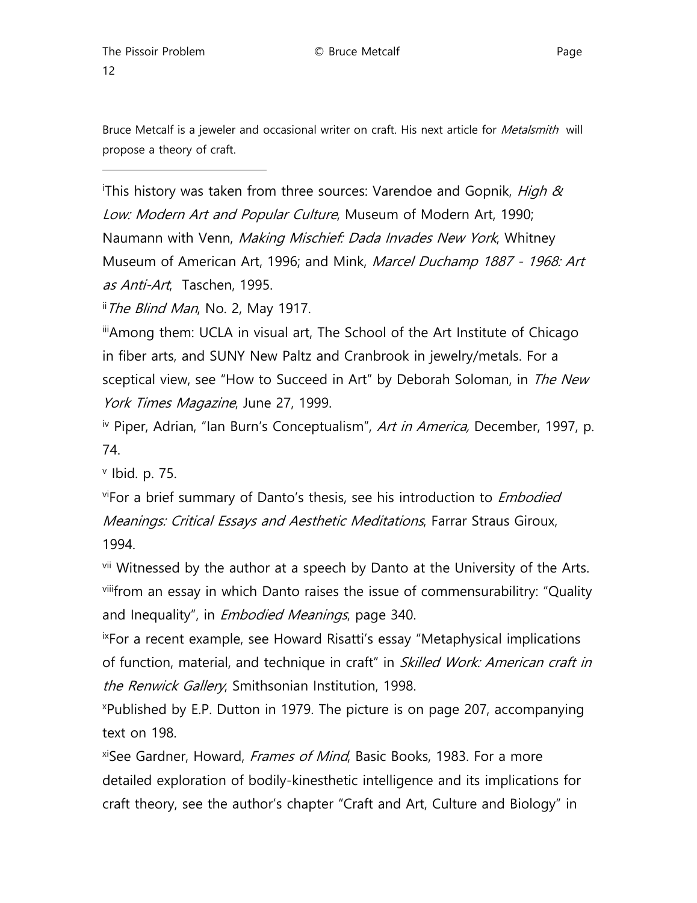ł

Bruce Metcalf is a jeweler and occasional writer on craft. His next article for *Metalsmith* will propose a theory of craft.

<span id="page-11-0"></span><sup>i</sup>This history was taken from three sources: Varendoe and Gopnik, *High &* Low: Modern Art and Popular Culture, Museum of Modern Art, 1990; Naumann with Venn, Making Mischief: Dada Invades New York, Whitney Museum of American Art, 1996; and Mink, Marcel Duchamp 1887 - 1968: Art as Anti-Art, Taschen, 1995.

<span id="page-11-1"></span>ii The Blind Man, No. 2, May 1917.

<span id="page-11-2"></span>iiiAmong them: UCLA in visual art, The School of the Art Institute of Chicago in fiber arts, and SUNY New Paltz and Cranbrook in jewelry/metals. For a sceptical view, see "How to Succeed in Art" by Deborah Soloman, in The New York Times Magazine, June 27, 1999.

<span id="page-11-3"></span><sup>iv</sup> Piper, Adrian, "Ian Burn's Conceptualism", Art in America, December, 1997, p. 74.

<span id="page-11-4"></span> $v$  Ibid. p. 75.

<span id="page-11-5"></span>viFor a brief summary of Danto's thesis, see his introduction to *Embodied* Meanings: Critical Essays and Aesthetic Meditations, Farrar Straus Giroux, 1994.

<span id="page-11-7"></span><span id="page-11-6"></span><sup>vii</sup> Witnessed by the author at a speech by Danto at the University of the Arts. viiifrom an essay in which Danto raises the issue of commensurabilitry: "Quality and Inequality", in *Embodied Meanings*, page 340.

<span id="page-11-8"></span>ixFor a recent example, see Howard Risatti's essay "Metaphysical implications of function, material, and technique in craft" in Skilled Work: American craft in the Renwick Gallery, Smithsonian Institution, 1998.

<span id="page-11-9"></span>x Published by E.P. Dutton in 1979. The picture is on page 207, accompanying text on 198.

<span id="page-11-10"></span>xiSee Gardner, Howard, *Frames of Mind*, Basic Books, 1983. For a more detailed exploration of bodily-kinesthetic intelligence and its implications for craft theory, see the author's chapter "Craft and Art, Culture and Biology" in